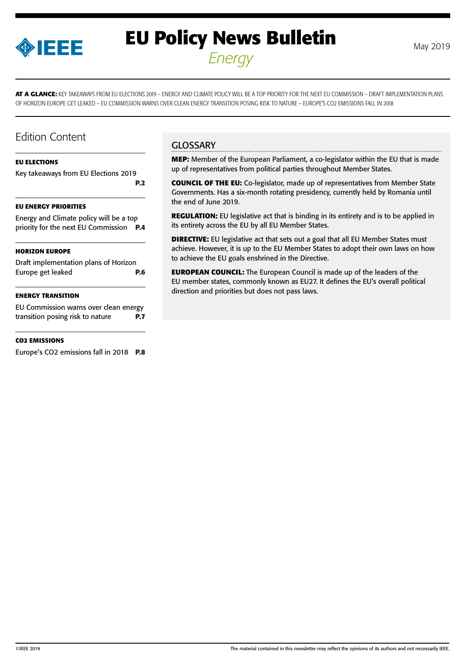

# **EU Policy News Bulletin** May 2019 *Energy*

**AT A GLANCE:** KEY TAKEAWAYS FROM EU ELECTIONS 2019 – ENERGY AND CLIMATE POLICY WILL BE A TOP PRIORITY FOR THE NEXT EU COMMISSION – DRAFT IMPLEMENTATION PLANS OF HORIZON EUROPE GET LEAKED – EU COMMISSION WARNS OVER CLEAN ENERGY TRANSITION POSING RISK TO NATURE – EUROPE'S CO2 EMISSIONS FALL IN 2018

### Edition Content

#### **[EU ELECTIONS](#page-1-0)**

[Key takeaways from EU Elections 2019](#page-1-0) **[P.2](#page-1-0)**

#### **[EU ENERGY PRIORITIES](#page-3-0)**

[Energy and Climate policy will be a top](#page-3-0)  [priority for the next EU Commission](#page-3-0) **P.4**

#### **[HORIZON EUROPE](#page-5-0)**

[Draft implementation plans of Horizon](#page-5-0)  [Europe get leaked](#page-5-0) **P.6**

#### **[ENERGY TRANSITION](#page-6-0)**

[EU Commission warns over clean energy](#page-6-0)  [transition posing risk to nature](#page-6-0) **P.7**

#### **[CO2 EMISSIONS](#page-7-0)**

[Europe's CO2 emissions fall in 2018](#page-7-0) **P.8**

### **GLOSSARY**

**MEP:** Member of the European Parliament, a co-legislator within the EU that is made up of representatives from political parties throughout Member States.

**COUNCIL OF THE EU:** Co-legislator, made up of representatives from Member State Governments. Has a six-month rotating presidency, currently held by Romania until the end of June 2019.

**REGULATION:** EU legislative act that is binding in its entirety and is to be applied in its entirety across the EU by all EU Member States.

**DIRECTIVE:** EU legislative act that sets out a goal that all EU Member States must achieve. However, it is up to the EU Member States to adopt their own laws on how to achieve the EU goals enshrined in the Directive.

**EUROPEAN COUNCIL:** The European Council is made up of the leaders of the EU member states, commonly known as EU27. It defines the EU's overall political direction and priorities but does not pass laws.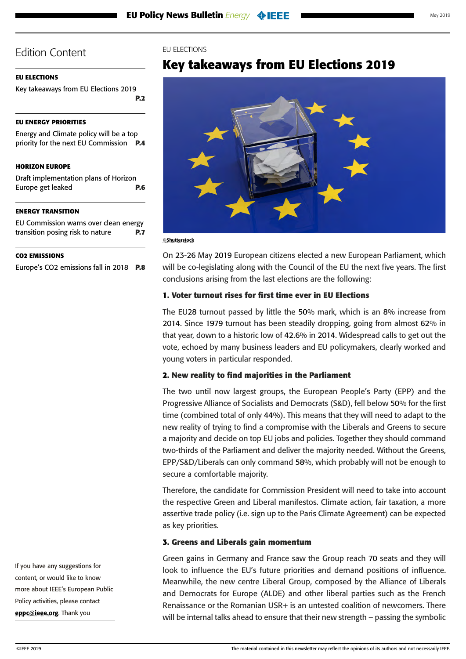### <span id="page-1-0"></span>**EU ELECTIONS**

Key takeaways from EU Elections 2019 **P.2**

### **[EU ENERGY PRIORITIES](#page-3-0)**

[Energy and Climate policy will be a top](#page-3-0)  [priority for the next EU Commission](#page-3-0) **P.4**

### **[HORIZON EUROPE](#page-5-0)**

[Draft implementation plans of Horizon](#page-5-0)  [Europe get leaked](#page-5-0) **P.6**

### **[ENERGY TRANSITION](#page-6-0)**

[EU Commission warns over clean energy](#page-6-0)  [transition posing risk to nature](#page-6-0) **P.7**

### **[CO2 EMISSIONS](#page-7-0)**

[Europe's CO2 emissions fall in 2018](#page-7-0) **P.8**

EU ELECTIONS

# **Key takeaways from EU Elections 2019**



©Shutterstock

On 23-26 May 2019 European citizens elected a new European Parliament, which will be co-legislating along with the Council of the EU the next five years. The first conclusions arising from the last elections are the following:

### **1. Voter turnout rises for first time ever in EU Elections**

The EU28 turnout passed by little the 50% mark, which is an 8% increase from 2014. Since 1979 turnout has been steadily dropping, going from almost 62% in that year, down to a historic low of 42.6% in 2014. Widespread calls to get out the vote, echoed by many business leaders and EU policymakers, clearly worked and young voters in particular responded.

### **2. New reality to find majorities in the Parliament**

The two until now largest groups, the European People's Party (EPP) and the Progressive Alliance of Socialists and Democrats (S&D), fell below 50% for the first time (combined total of only 44%). This means that they will need to adapt to the new reality of trying to find a compromise with the Liberals and Greens to secure a majority and decide on top EU jobs and policies. Together they should command two-thirds of the Parliament and deliver the majority needed. Without the Greens, EPP/S&D/Liberals can only command 58%, which probably will not be enough to secure a comfortable majority.

Therefore, the candidate for Commission President will need to take into account the respective Green and Liberal manifestos. Climate action, fair taxation, a more assertive trade policy (i.e. sign up to the Paris Climate Agreement) can be expected as key priorities.

### **3. Greens and Liberals gain momentum**

Green gains in Germany and France saw the Group reach 70 seats and they will look to influence the EU's future priorities and demand positions of influence. Meanwhile, the new centre Liberal Group, composed by the Alliance of Liberals and Democrats for Europe (ALDE) and other liberal parties such as the French Renaissance or the Romanian USR+ is an untested coalition of newcomers. There will be internal talks ahead to ensure that their new strength – passing the symbolic

If you have any suggestions for content, or would like to know more about IEEE's European Public Policy activities, please contact [eppc@ieee.org](mailto:eppc%40ieee.org?subject=). Thank you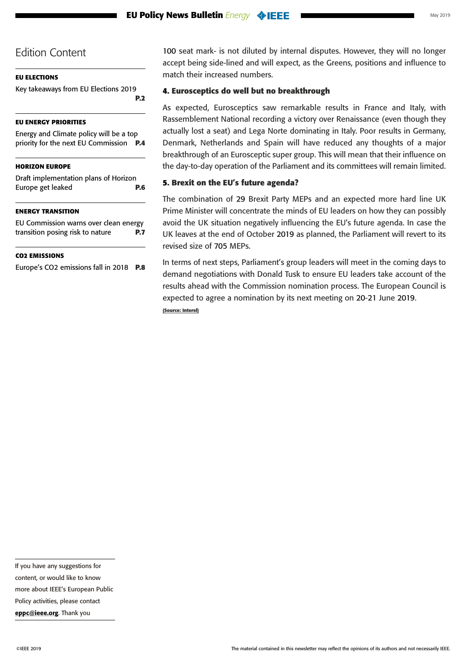### **[EU ELECTIONS](#page-1-0)**

[Key takeaways from EU Elections 2019](#page-1-0) **[P.2](#page-1-0)**

### **[EU ENERGY PRIORITIES](#page-3-0)**

[Energy and Climate policy will be a top](#page-3-0)  [priority for the next EU Commission](#page-3-0) **P.4**

### **[HORIZON EUROPE](#page-5-0)**

[Draft implementation plans of Horizon](#page-5-0)  [Europe get leaked](#page-5-0) **P.6**

### **[ENERGY TRANSITION](#page-6-0)**

[EU Commission warns over clean energy](#page-6-0)  [transition posing risk to nature](#page-6-0) **P.7**

### **[CO2 EMISSIONS](#page-7-0)**

[Europe's CO2 emissions fall in 2018](#page-7-0) **P.8**

100 seat mark- is not diluted by internal disputes. However, they will no longer accept being side-lined and will expect, as the Greens, positions and influence to match their increased numbers.

### **4. Eurosceptics do well but no breakthrough**

As expected, Eurosceptics saw remarkable results in France and Italy, with Rassemblement National recording a victory over Renaissance (even though they actually lost a seat) and Lega Norte dominating in Italy. Poor results in Germany, Denmark, Netherlands and Spain will have reduced any thoughts of a major breakthrough of an Eurosceptic super group. This will mean that their influence on the day-to-day operation of the Parliament and its committees will remain limited.

### **5. Brexit on the EU's future agenda?**

The combination of 29 Brexit Party MEPs and an expected more hard line UK Prime Minister will concentrate the minds of EU leaders on how they can possibly avoid the UK situation negatively influencing the EU's future agenda. In case the UK leaves at the end of October 2019 as planned, the Parliament will revert to its revised size of 705 MEPs.

In terms of next steps, Parliament's group leaders will meet in the coming days to demand negotiations with Donald Tusk to ensure EU leaders take account of the results ahead with the Commission nomination process. The European Council is expected to agree a nomination by its next meeting on 20-21 June 2019.

**(Source: Interel)**

If you have any suggestions for content, or would like to know more about IEEE's European Public Policy activities, please contact

[eppc@ieee.org](mailto:eppc%40ieee.org?subject=). Thank you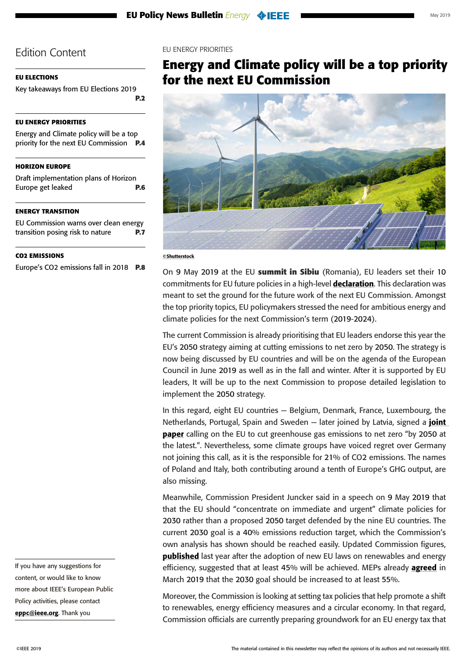### <span id="page-3-0"></span>**[EU ELECTIONS](#page-1-0)**

[Key takeaways from EU Elections 2019](#page-1-0) **[P.2](#page-1-0)**

### **EU ENERGY PRIORITIES**

Energy and Climate policy will be a top priority for the next EU Commission **P.4**

### **[HORIZON EUROPE](#page-5-0)**

[Draft implementation plans of Horizon](#page-5-0)  [Europe get leaked](#page-5-0) **P.6**

### **[ENERGY TRANSITION](#page-6-0)**

[EU Commission warns over clean energy](#page-6-0)  [transition posing risk to nature](#page-6-0) **P.7**

### **[CO2 EMISSIONS](#page-7-0)**

[Europe's CO2 emissions fall in 2018](#page-7-0) **P.8**

EU ENERGY PRIORITIES

## **Energy and Climate policy will be a top priority for the next EU Commission**



#### ©Shutterstock

On 9 May 2019 at the EU **summit in Sibiu** (Romania), EU leaders set their 10 commitments for EU future policies in a high-level [declaration](https://www.consilium.europa.eu/en/press/press-releases/2019/05/09/the-sibiu-declaration/). This declaration was meant to set the ground for the future work of the next EU Commission. Amongst the top priority topics, EU policymakers stressed the need for ambitious energy and climate policies for the next Commission's term (2019-2024).

The current Commission is already prioritising that EU leaders endorse this year the EU's 2050 strategy aiming at cutting emissions to net zero by 2050. The strategy is now being discussed by EU countries and will be on the agenda of the European Council in June 2019 as well as in the fall and winter. After it is supported by EU leaders, It will be up to the next Commission to propose detailed legislation to implement the 2050 strategy.

In this regard, eight EU countries — Belgium, Denmark, France, Luxembourg, the Netherlands, Portugal, Spain and Sweden  $-$  later joined by Latvia, signed a *joint* [paper](https://www.euractiv.com/wp-content/uploads/sites/2/2019/05/Non-paper-Climate-FR-SE-PT-DK-LU-ES-NL-BE.pdf) calling on the EU to cut greenhouse gas emissions to net zero "by 2050 at the latest.". Nevertheless, some climate groups have voiced regret over Germany not joining this call, as it is the responsible for 21% of CO2 emissions. The names of Poland and Italy, both contributing around a tenth of Europe's GHG output, are also missing.

Meanwhile, Commission President Juncker said in a speech on 9 May 2019 that that the EU should "concentrate on immediate and urgent" climate policies for 2030 rather than a proposed 2050 target defended by the nine EU countries. The current 2030 goal is a 40% emissions reduction target, which the Commission's own analysis has shown should be reached easily. Updated Commission figures, **[published](https://ec.europa.eu/info/news/commission-welcomes-council-adoption-new-rules-renewable-energy-energy-efficiency-and-governance-2018-dec-04_en)** last year after the adoption of new EU laws on renewables and energy efficiency, suggested that at least 45% will be achieved. MEPs already **[agreed](http://www.europarl.europa.eu/news/en/press-room/20190220IPR27659/meps-urge-the-eu-to-lead-the-way-to-net-zero-emissions-by-2050)** in March 2019 that the 2030 goal should be increased to at least 55%.

Moreover, the Commission is looking at setting tax policies that help promote a shift to renewables, energy efficiency measures and a circular economy. In that regard, Commission officials are currently preparing groundwork for an EU energy tax that

If you have any suggestions for content, or would like to know more about IEEE's European Public Policy activities, please contact [eppc@ieee.org](mailto:eppc%40ieee.org?subject=). Thank you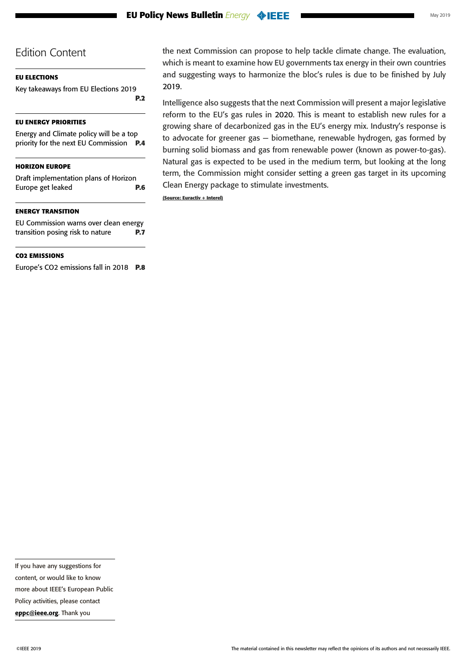### **[EU ELECTIONS](#page-1-0)**

[Key takeaways from EU Elections 2019](#page-1-0) **[P.2](#page-1-0)**

### **[EU ENERGY PRIORITIES](#page-3-0)**

[Energy and Climate policy will be a top](#page-3-0)  [priority for the next EU Commission](#page-3-0) **P.4**

### **[HORIZON EUROPE](#page-5-0)**

[Draft implementation plans of Horizon](#page-5-0)  [Europe get leaked](#page-5-0) **P.6**

### **[ENERGY TRANSITION](#page-6-0)**

[EU Commission warns over clean energy](#page-6-0)  [transition posing risk to nature](#page-6-0) **P.7**

### **[CO2 EMISSIONS](#page-7-0)**

[Europe's CO2 emissions fall in 2018](#page-7-0) **P.8**

the next Commission can propose to help tackle climate change. The evaluation, which is meant to examine how EU governments tax energy in their own countries and suggesting ways to harmonize the bloc's rules is due to be finished by July 2019.

Intelligence also suggests that the next Commission will present a major legislative reform to the EU's gas rules in 2020. This is meant to establish new rules for a growing share of decarbonized gas in the EU's energy mix. Industry's response is to advocate for greener gas — biomethane, renewable hydrogen, gas formed by burning solid biomass and gas from renewable power (known as power-to-gas). Natural gas is expected to be used in the medium term, but looking at the long term, the Commission might consider setting a green gas target in its upcoming Clean Energy package to stimulate investments.

**(Source: Euractiv + Interel)**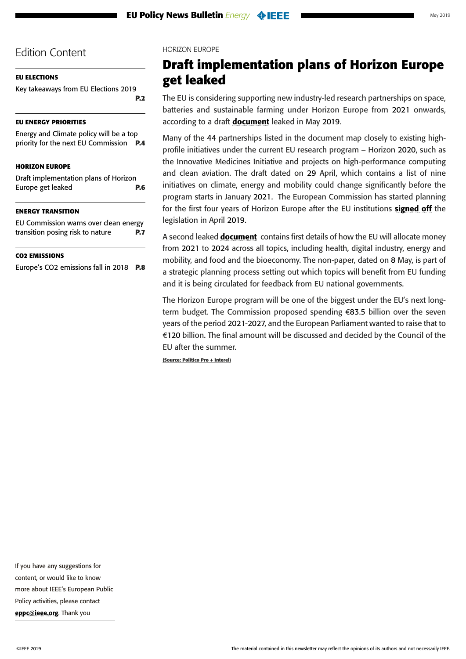### <span id="page-5-0"></span>**[EU ELECTIONS](#page-1-0)**

[Key takeaways from EU Elections 2019](#page-1-0) **[P.2](#page-1-0)**

### **[EU ENERGY PRIORITIES](#page-3-0)**

[Energy and Climate policy will be a top](#page-3-0)  [priority for the next EU Commission](#page-3-0) **P.4**

### **HORIZON EUROPE**

Draft implementation plans of Horizon Europe get leaked **P.6**

### **[ENERGY TRANSITION](#page-6-0)**

[EU Commission warns over clean energy](#page-6-0)  [transition posing risk to nature](#page-6-0) **P.7**

### **[CO2 EMISSIONS](#page-7-0)**

[Europe's CO2 emissions fall in 2018](#page-7-0) **P.8**

### HORIZON EUROPE

# **Draft implementation plans of Horizon Europe get leaked**

The EU is considering supporting new industry-led research partnerships on space, batteries and sustainable farming under Horizon Europe from 2021 onwards, according to a draft **[document](https://g8fip1kplyr33r3krz5b97d1-wpengine.netdna-ssl.com/wp-content/uploads/2019/05/SKM_C45819051616490.pdf)** leaked in May 2019.

Many of the 44 partnerships listed in the document map closely to existing highprofile initiatives under the current EU research program – Horizon 2020, such as the Innovative Medicines Initiative and projects on high-performance computing and clean aviation. The draft dated on 29 April, which contains a list of nine initiatives on climate, energy and mobility could change significantly before the program starts in January 2021. The European Commission has started planning for the first four years of Horizon Europe after the EU institutions [signed off](http://www.europarl.europa.eu/doceo/document/TA-8-2019-0395_EN.pdf) the legislation in April 2019.

A second leaked **[document](https://g8fip1kplyr33r3krz5b97d1-wpengine.netdna-ssl.com/wp-content/uploads/2019/05/SKM_C45819051617360.pdf)** contains first details of how the EU will allocate money from 2021 to 2024 across all topics, including health, digital industry, energy and mobility, and food and the bioeconomy. The non-paper, dated on 8 May, is part of a strategic planning process setting out which topics will benefit from EU funding and it is being circulated for feedback from EU national governments.

The Horizon Europe program will be one of the biggest under the EU's next longterm budget. The Commission proposed spending €83.5 billion over the seven years of the period 2021-2027, and the European Parliament wanted to raise that to €120 billion. The final amount will be discussed and decided by the Council of the EU after the summer.

**(Source: Politico Pro + Interel)**

If you have any suggestions for content, or would like to know more about IEEE's European Public Policy activities, please contact

[eppc@ieee.org](mailto:eppc%40ieee.org?subject=). Thank you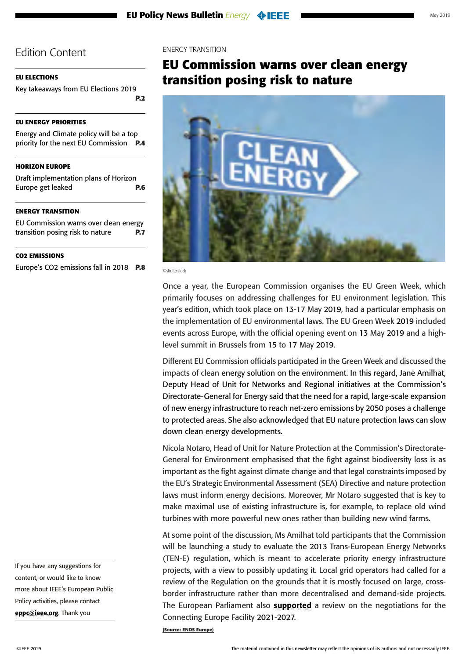### <span id="page-6-0"></span>**[EU ELECTIONS](#page-1-0)**

[Key takeaways from EU Elections 2019](#page-1-0) **[P.2](#page-1-0)**

### **[EU ENERGY PRIORITIES](#page-3-0)**

[Energy and Climate policy will be a top](#page-3-0)  [priority for the next EU Commission](#page-3-0) **P.4**

### **[HORIZON EUROPE](#page-5-0)**

[Draft implementation plans of Horizon](#page-5-0)  [Europe get leaked](#page-5-0) **P.6**

### **ENERGY TRANSITION**

EU Commission warns over clean energy transition posing risk to nature **P.7**

### **[CO2 EMISSIONS](#page-7-0)**

[Europe's CO2 emissions fall in 2018](#page-7-0) **P.8**

ENERGY TRANSITION

# **EU Commission warns over clean energy transition posing risk to nature**



©shutterstock

Once a year, the European Commission organises the EU Green Week, which primarily focuses on addressing challenges for EU environment legislation. This year's edition, which took place on 13-17 May 2019, had a particular emphasis on the implementation of EU environmental laws. The EU Green Week 2019 included events across Europe, with the official opening event on 13 May 2019 and a highlevel summit in Brussels from 15 to 17 May 2019.

Different EU Commission officials participated in the Green Week and discussed the impacts of clean energy solution on the environment. In this regard, Jane Amilhat, Deputy Head of Unit for Networks and Regional initiatives at the Commission's Directorate-General for Energy said that the need for a rapid, large-scale expansion of new energy infrastructure to reach net-zero emissions by 2050 poses a challenge to protected areas. She also acknowledged that EU nature protection laws can slow down clean energy developments.

Nicola Notaro, Head of Unit for Nature Protection at the Commission's Directorate-General for Environment emphasised that the fight against biodiversity loss is as important as the fight against climate change and that legal constraints imposed by the EU's Strategic Environmental Assessment (SEA) Directive and nature protection laws must inform energy decisions. Moreover, Mr Notaro suggested that is key to make maximal use of existing infrastructure is, for example, to replace old wind turbines with more powerful new ones rather than building new wind farms.

At some point of the discussion, Ms Amilhat told participants that the Commission will be launching a study to evaluate the 2013 Trans-European Energy Networks (TEN-E) regulation, which is meant to accelerate priority energy infrastructure projects, with a view to possibly updating it. Local grid operators had called for a review of the Regulation on the grounds that it is mostly focused on large, crossborder infrastructure rather than more decentralised and demand-side projects. The European Parliament also **[supported](http://www.europarl.europa.eu/doceo/document/TA-8-2018-0517_EN.html?redirect)** a review on the negotiations for the Connecting Europe Facility 2021-2027.

**(Source: ENDS Europe)**

If you have any suggestions for content, or would like to know more about IEEE's European Public Policy activities, please contact [eppc@ieee.org](mailto:eppc%40ieee.org?subject=). Thank you